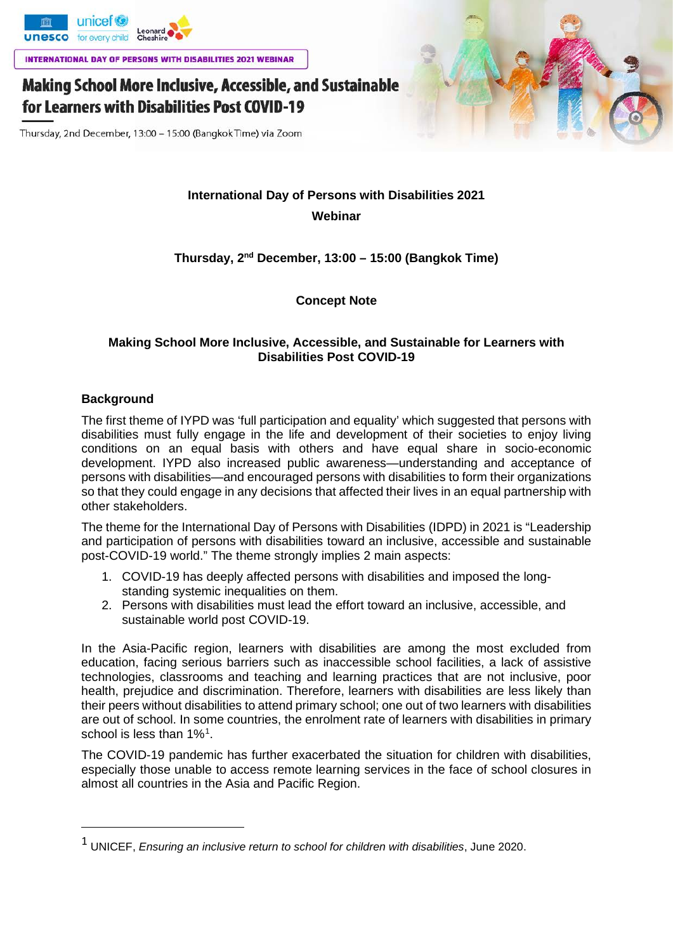

INTERNATIONAL DAY OF PERSONS WITH DISABILITIES 2021 WEBINAR

# **Making School More Inclusive, Accessible, and Sustainable** for Learners with Disabilities Post COVID-19

Thursday, 2nd December, 13:00 - 15:00 (Bangkok Time) via Zoom

## **International Day of Persons with Disabilities 2021 Webinar**

## **Thursday, 2nd December, 13:00 – 15:00 (Bangkok Time)**

**Concept Note**

### **Making School More Inclusive, Accessible, and Sustainable for Learners with Disabilities Post COVID-19**

## **Background**

The first theme of IYPD was 'full participation and equality' which suggested that persons with disabilities must fully engage in the life and development of their societies to enjoy living conditions on an equal basis with others and have equal share in socio-economic development. IYPD also increased public awareness—understanding and acceptance of persons with disabilities—and encouraged persons with disabilities to form their organizations so that they could engage in any decisions that affected their lives in an equal partnership with other stakeholders.

The theme for the International Day of Persons with Disabilities (IDPD) in 2021 is "Leadership and participation of persons with disabilities toward an inclusive, accessible and sustainable post-COVID-19 world." The theme strongly implies 2 main aspects:

- 1. COVID-19 has deeply affected persons with disabilities and imposed the longstanding systemic inequalities on them.
- 2. Persons with disabilities must lead the effort toward an inclusive, accessible, and sustainable world post COVID-19.

In the Asia-Pacific region, learners with disabilities are among the most excluded from education, facing serious barriers such as inaccessible school facilities, a lack of assistive technologies, classrooms and teaching and learning practices that are not inclusive, poor health, prejudice and discrimination. Therefore, learners with disabilities are less likely than their peers without disabilities to attend primary school; one out of two learners with disabilities are out of school. In some countries, the enrolment rate of learners with disabilities in primary school is less than [1](#page-0-0)%<sup>1</sup>.

The COVID-19 pandemic has further exacerbated the situation for children with disabilities, especially those unable to access remote learning services in the face of school closures in almost all countries in the Asia and Pacific Region.

<span id="page-0-0"></span><sup>1</sup> UNICEF, *Ensuring an inclusive return to school for children with disabilities*, June 2020.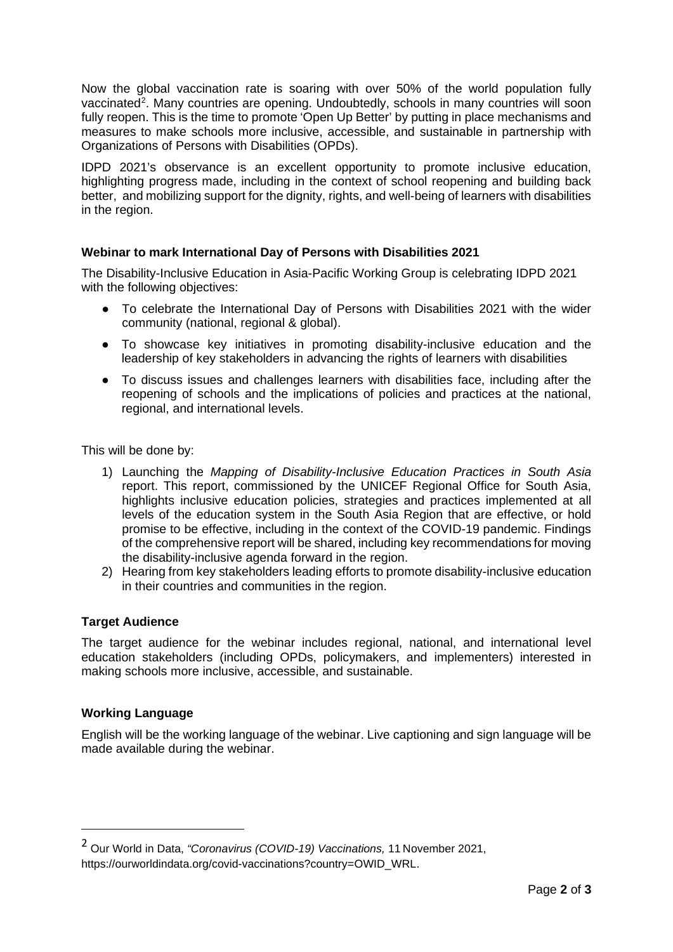Now the global vaccination rate is soaring with over 50% of the world population fully vaccinated<sup>[2](#page-1-0)</sup>. Many countries are opening. Undoubtedly, schools in many countries will soon fully reopen. This is the time to promote 'Open Up Better' by putting in place mechanisms and measures to make schools more inclusive, accessible, and sustainable in partnership with Organizations of Persons with Disabilities (OPDs).

IDPD 2021's observance is an excellent opportunity to promote inclusive education, highlighting progress made, including in the context of school reopening and building back better, and mobilizing support for the dignity, rights, and well-being of learners with disabilities in the region.

## **Webinar to mark International Day of Persons with Disabilities 2021**

The Disability-Inclusive Education in Asia-Pacific Working Group is celebrating IDPD 2021 with the following objectives:

- To celebrate the International Day of Persons with Disabilities 2021 with the wider community (national, regional & global).
- To showcase key initiatives in promoting disability-inclusive education and the leadership of key stakeholders in advancing the rights of learners with disabilities
- To discuss issues and challenges learners with disabilities face, including after the reopening of schools and the implications of policies and practices at the national, regional, and international levels.

This will be done by:

- 1) Launching the *Mapping of Disability-Inclusive Education Practices in South Asia* report. This report, commissioned by the UNICEF Regional Office for South Asia, highlights inclusive education policies, strategies and practices implemented at all levels of the education system in the South Asia Region that are effective, or hold promise to be effective, including in the context of the COVID-19 pandemic. Findings of the comprehensive report will be shared, including key recommendations for moving the disability-inclusive agenda forward in the region.
- 2) Hearing from key stakeholders leading efforts to promote disability-inclusive education in their countries and communities in the region.

#### **Target Audience**

The target audience for the webinar includes regional, national, and international level education stakeholders (including OPDs, policymakers, and implementers) interested in making schools more inclusive, accessible, and sustainable.

#### **Working Language**

English will be the working language of the webinar. Live captioning and sign language will be made available during the webinar.

<span id="page-1-0"></span><sup>2</sup> Our World in Data, *"Coronavirus (COVID-19) Vaccinations,* <sup>11</sup> November 2021, https://ourworldindata.org/covid-vaccinations?country=OWID\_WRL.